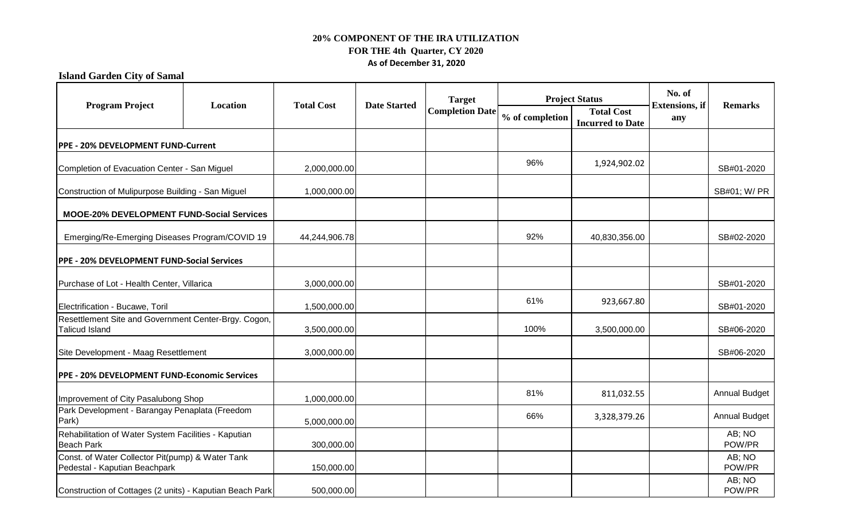**Island Garden City of Samal**

| <b>Program Project</b>                                                            | Location | <b>Total Cost</b> | <b>Date Started</b> | <b>Target</b><br><b>Completion Date</b> | <b>Project Status</b> |                                              | No. of                        | <b>Remarks</b>       |
|-----------------------------------------------------------------------------------|----------|-------------------|---------------------|-----------------------------------------|-----------------------|----------------------------------------------|-------------------------------|----------------------|
|                                                                                   |          |                   |                     |                                         | % of completion       | <b>Total Cost</b><br><b>Incurred to Date</b> | <b>Extensions</b> , if<br>any |                      |
| PPE - 20% DEVELOPMENT FUND-Current                                                |          |                   |                     |                                         |                       |                                              |                               |                      |
| Completion of Evacuation Center - San Miguel                                      |          | 2,000,000.00      |                     |                                         | 96%                   | 1,924,902.02                                 |                               | SB#01-2020           |
| Construction of Mulipurpose Building - San Miguel                                 |          | 1,000,000.00      |                     |                                         |                       |                                              |                               | SB#01; W/ PR         |
| <b>MOOE-20% DEVELOPMENT FUND-Social Services</b>                                  |          |                   |                     |                                         |                       |                                              |                               |                      |
| Emerging/Re-Emerging Diseases Program/COVID 19                                    |          | 44,244,906.78     |                     |                                         | 92%                   | 40,830,356.00                                |                               | SB#02-2020           |
| PPE - 20% DEVELOPMENT FUND-Social Services                                        |          |                   |                     |                                         |                       |                                              |                               |                      |
| Purchase of Lot - Health Center, Villarica                                        |          | 3,000,000.00      |                     |                                         |                       |                                              |                               | SB#01-2020           |
| Electrification - Bucawe, Toril                                                   |          | 1,500,000.00      |                     |                                         | 61%                   | 923,667.80                                   |                               | SB#01-2020           |
| Resettlement Site and Government Center-Brgy. Cogon,<br><b>Talicud Island</b>     |          | 3,500,000.00      |                     |                                         | 100%                  | 3,500,000.00                                 |                               | SB#06-2020           |
| Site Development - Maag Resettlement                                              |          | 3,000,000.00      |                     |                                         |                       |                                              |                               | SB#06-2020           |
| PPE - 20% DEVELOPMENT FUND-Economic Services                                      |          |                   |                     |                                         |                       |                                              |                               |                      |
| Improvement of City Pasalubong Shop                                               |          | 1,000,000.00      |                     |                                         | 81%                   | 811,032.55                                   |                               | <b>Annual Budget</b> |
| Park Development - Barangay Penaplata (Freedom<br>Park)                           |          | 5,000,000.00      |                     |                                         | 66%                   | 3,328,379.26                                 |                               | <b>Annual Budget</b> |
| Rehabilitation of Water System Facilities - Kaputian<br><b>Beach Park</b>         |          | 300,000.00        |                     |                                         |                       |                                              |                               | AB; NO<br>POW/PR     |
| Const. of Water Collector Pit(pump) & Water Tank<br>Pedestal - Kaputian Beachpark |          | 150,000.00        |                     |                                         |                       |                                              |                               | AB; NO<br>POW/PR     |
| Construction of Cottages (2 units) - Kaputian Beach Park                          |          | 500,000.00        |                     |                                         |                       |                                              |                               | AB; NO<br>POW/PR     |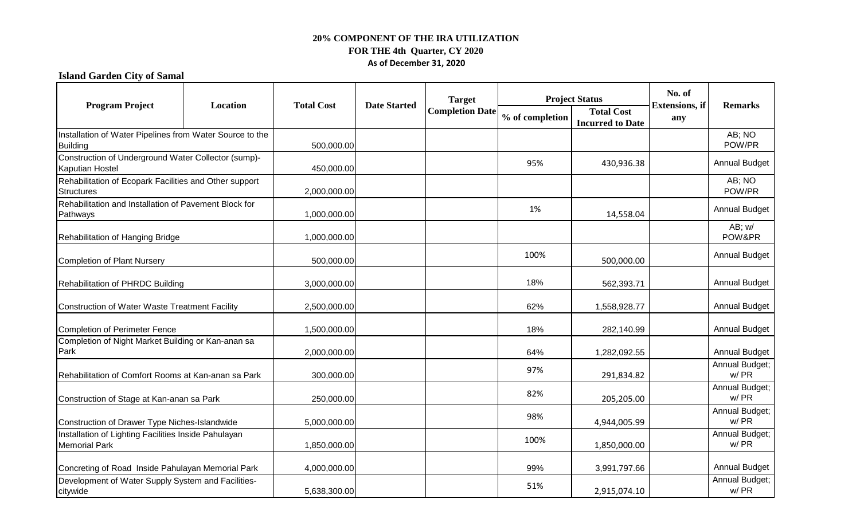# **Island Garden City of Samal**

| <b>Program Project</b>                                                        | Location                                                 | <b>Total Cost</b> | <b>Date Started</b> | <b>Target</b><br><b>Completion Date</b> | <b>Project Status</b> |                                              | No. of                        |                        |
|-------------------------------------------------------------------------------|----------------------------------------------------------|-------------------|---------------------|-----------------------------------------|-----------------------|----------------------------------------------|-------------------------------|------------------------|
|                                                                               |                                                          |                   |                     |                                         | % of completion       | <b>Total Cost</b><br><b>Incurred to Date</b> | <b>Extensions</b> , if<br>any | <b>Remarks</b>         |
| <b>Building</b>                                                               | Installation of Water Pipelines from Water Source to the |                   |                     |                                         |                       |                                              |                               | AB; NO<br>POW/PR       |
| Construction of Underground Water Collector (sump)-<br><b>Kaputian Hostel</b> |                                                          | 450,000.00        |                     |                                         | 95%                   | 430,936.38                                   |                               | <b>Annual Budget</b>   |
| Rehabilitation of Ecopark Facilities and Other support<br><b>Structures</b>   |                                                          | 2,000,000.00      |                     |                                         |                       |                                              |                               | AB; NO<br>POW/PR       |
| Rehabilitation and Installation of Pavement Block for<br>Pathways             |                                                          | 1,000,000.00      |                     |                                         | 1%                    | 14,558.04                                    |                               | <b>Annual Budget</b>   |
| Rehabilitation of Hanging Bridge                                              |                                                          | 1,000,000.00      |                     |                                         |                       |                                              |                               | $AB$ ; w/<br>POW&PR    |
| <b>Completion of Plant Nursery</b>                                            |                                                          | 500,000.00        |                     |                                         | 100%                  | 500,000.00                                   |                               | <b>Annual Budget</b>   |
| Rehabilitation of PHRDC Building                                              |                                                          | 3,000,000.00      |                     |                                         | 18%                   | 562,393.71                                   |                               | <b>Annual Budget</b>   |
| Construction of Water Waste Treatment Facility                                |                                                          | 2,500,000.00      |                     |                                         | 62%                   | 1,558,928.77                                 |                               | <b>Annual Budget</b>   |
| <b>Completion of Perimeter Fence</b>                                          |                                                          | 1,500,000.00      |                     |                                         | 18%                   | 282,140.99                                   |                               | <b>Annual Budget</b>   |
| Completion of Night Market Building or Kan-anan sa<br>Park                    |                                                          | 2,000,000.00      |                     |                                         | 64%                   | 1,282,092.55                                 |                               | <b>Annual Budget</b>   |
| Rehabilitation of Comfort Rooms at Kan-anan sa Park                           |                                                          | 300,000.00        |                     |                                         | 97%                   | 291,834.82                                   |                               | Annual Budget;<br>w/PR |
| Construction of Stage at Kan-anan sa Park                                     |                                                          | 250,000.00        |                     |                                         | 82%                   | 205,205.00                                   |                               | Annual Budget;<br>w/PR |
| Construction of Drawer Type Niches-Islandwide                                 |                                                          | 5,000,000.00      |                     |                                         | 98%                   | 4,944,005.99                                 |                               | Annual Budget;<br>w/PR |
| Installation of Lighting Facilities Inside Pahulayan<br><b>Memorial Park</b>  |                                                          | 1,850,000.00      |                     |                                         | 100%                  | 1,850,000.00                                 |                               | Annual Budget;<br>w/PR |
| Concreting of Road Inside Pahulayan Memorial Park                             |                                                          | 4,000,000.00      |                     |                                         | 99%                   | 3,991,797.66                                 |                               | <b>Annual Budget</b>   |
| Development of Water Supply System and Facilities-<br>citywide                |                                                          | 5,638,300.00      |                     |                                         | 51%                   | 2,915,074.10                                 |                               | Annual Budget;<br>w/PR |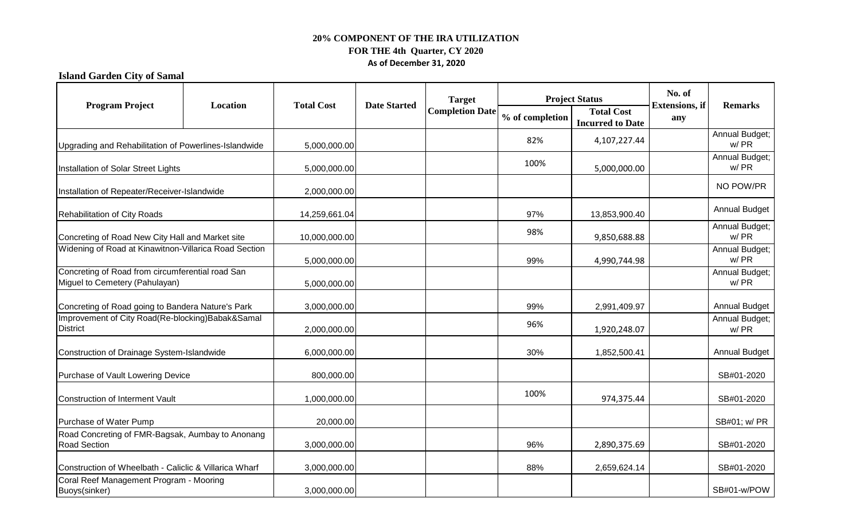**Island Garden City of Samal**

| <b>Program Project</b>                                                                                    | Location | <b>Total Cost</b> | <b>Date Started</b> | <b>Target</b><br><b>Completion Date</b> | <b>Project Status</b> |                                              | No. of                        | <b>Remarks</b>         |
|-----------------------------------------------------------------------------------------------------------|----------|-------------------|---------------------|-----------------------------------------|-----------------------|----------------------------------------------|-------------------------------|------------------------|
|                                                                                                           |          |                   |                     |                                         | % of completion       | <b>Total Cost</b><br><b>Incurred to Date</b> | <b>Extensions</b> , if<br>any |                        |
| Upgrading and Rehabilitation of Powerlines-Islandwide                                                     |          | 5,000,000.00      |                     |                                         | 82%                   | 4,107,227.44                                 |                               | Annual Budget;<br>w/PR |
| Installation of Solar Street Lights                                                                       |          | 5,000,000.00      |                     |                                         | 100%                  | 5,000,000.00                                 |                               | Annual Budget;<br>w/PR |
| Installation of Repeater/Receiver-Islandwide                                                              |          | 2,000,000.00      |                     |                                         |                       |                                              |                               | NO POW/PR              |
| Rehabilitation of City Roads                                                                              |          | 14,259,661.04     |                     |                                         | 97%                   | 13,853,900.40                                |                               | <b>Annual Budget</b>   |
| Concreting of Road New City Hall and Market site<br>Widening of Road at Kinawitnon-Villarica Road Section |          | 10,000,000.00     |                     |                                         | 98%                   | 9,850,688.88                                 |                               | Annual Budget;<br>w/PR |
|                                                                                                           |          | 5,000,000.00      |                     |                                         | 99%                   | 4,990,744.98                                 |                               | Annual Budget;<br>w/PR |
| Concreting of Road from circumferential road San<br>Miguel to Cemetery (Pahulayan)                        |          | 5,000,000.00      |                     |                                         |                       |                                              |                               | Annual Budget;<br>w/PR |
| Concreting of Road going to Bandera Nature's Park                                                         |          | 3,000,000.00      |                     |                                         | 99%                   | 2,991,409.97                                 |                               | <b>Annual Budget</b>   |
| Improvement of City Road(Re-blocking)Babak&Samal<br><b>District</b>                                       |          | 2,000,000.00      |                     |                                         | 96%                   | 1,920,248.07                                 |                               | Annual Budget;<br>w/PR |
| Construction of Drainage System-Islandwide                                                                |          | 6,000,000.00      |                     |                                         | 30%                   | 1,852,500.41                                 |                               | <b>Annual Budget</b>   |
| Purchase of Vault Lowering Device                                                                         |          | 800,000.00        |                     |                                         |                       |                                              |                               | SB#01-2020             |
| Construction of Interment Vault                                                                           |          | 1,000,000.00      |                     |                                         | 100%                  | 974,375.44                                   |                               | SB#01-2020             |
| Purchase of Water Pump                                                                                    |          | 20,000.00         |                     |                                         |                       |                                              |                               | SB#01; w/ PR           |
| Road Concreting of FMR-Bagsak, Aumbay to Anonang<br><b>Road Section</b>                                   |          | 3,000,000.00      |                     |                                         | 96%                   | 2,890,375.69                                 |                               | SB#01-2020             |
| Construction of Wheelbath - Caliclic & Villarica Wharf                                                    |          | 3,000,000.00      |                     |                                         | 88%                   | 2,659,624.14                                 |                               | SB#01-2020             |
| Coral Reef Management Program - Mooring<br>Buoys(sinker)                                                  |          | 3,000,000.00      |                     |                                         |                       |                                              |                               | SB#01-w/POW            |